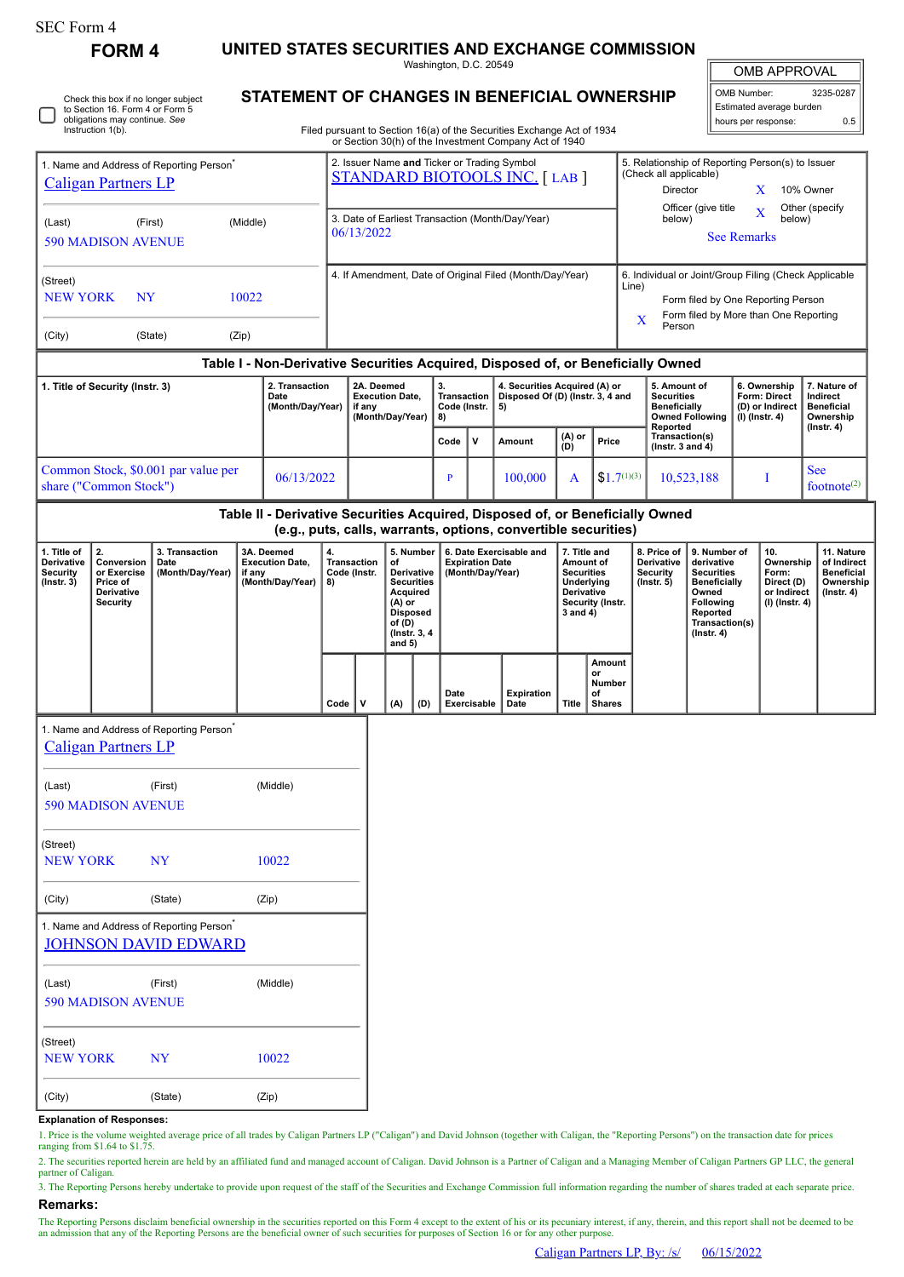Check this box if no longer subject

**FORM 4 UNITED STATES SECURITIES AND EXCHANGE COMMISSION**

Washington, D.C. 20549 **STATEMENT OF CHANGES IN BENEFICIAL OWNERSHIP**

| <b>OMB APPROVAL</b> |  |
|---------------------|--|
|                     |  |
|                     |  |

OMB Number: 3235-0287 Estimated average burden hours per response: 0.5

|                                                                                                                                                                   | to Section 16. Form 4 or Form 5<br>obligations may continue. See<br>Instruction 1(b).                                                |                                                                                     |                                                          |                                                                    |                                                                                     |                                                          |                                                                                                                                      |      |                        |                                                                   | Filed pursuant to Section 16(a) of the Securities Exchange Act of 1934<br>or Section 30(h) of the Investment Company Act of 1940 |                                                                                    |                                                                                                          |                                                                                                                                               |                                                                                                                                                       |                                                            |                                                                          | Estimated average burden<br>hours per response:                           | 0.5 |
|-------------------------------------------------------------------------------------------------------------------------------------------------------------------|--------------------------------------------------------------------------------------------------------------------------------------|-------------------------------------------------------------------------------------|----------------------------------------------------------|--------------------------------------------------------------------|-------------------------------------------------------------------------------------|----------------------------------------------------------|--------------------------------------------------------------------------------------------------------------------------------------|------|------------------------|-------------------------------------------------------------------|----------------------------------------------------------------------------------------------------------------------------------|------------------------------------------------------------------------------------|----------------------------------------------------------------------------------------------------------|-----------------------------------------------------------------------------------------------------------------------------------------------|-------------------------------------------------------------------------------------------------------------------------------------------------------|------------------------------------------------------------|--------------------------------------------------------------------------|---------------------------------------------------------------------------|-----|
| 1. Name and Address of Reporting Person <sup>®</sup><br><b>Caligan Partners LP</b>                                                                                |                                                                                                                                      |                                                                                     |                                                          |                                                                    | 2. Issuer Name and Ticker or Trading Symbol<br><b>STANDARD BIOTOOLS INC.</b> [LAB ] |                                                          |                                                                                                                                      |      |                        |                                                                   |                                                                                                                                  |                                                                                    | 5. Relationship of Reporting Person(s) to Issuer<br>(Check all applicable)<br>Director<br>10% Owner<br>X |                                                                                                                                               |                                                                                                                                                       |                                                            |                                                                          |                                                                           |     |
| (First)<br>(Middle)<br>(Last)<br><b>590 MADISON AVENUE</b>                                                                                                        |                                                                                                                                      |                                                                                     |                                                          |                                                                    | 3. Date of Earliest Transaction (Month/Day/Year)<br>06/13/2022                      |                                                          |                                                                                                                                      |      |                        |                                                                   |                                                                                                                                  |                                                                                    | Officer (give title<br>Other (specify<br>$\overline{X}$<br>below)<br>below)<br><b>See Remarks</b>        |                                                                                                                                               |                                                                                                                                                       |                                                            |                                                                          |                                                                           |     |
| (Street)<br><b>NEW YORK</b><br>N <sub>Y</sub><br>10022                                                                                                            |                                                                                                                                      |                                                                                     |                                                          |                                                                    |                                                                                     | 4. If Amendment, Date of Original Filed (Month/Day/Year) |                                                                                                                                      |      |                        |                                                                   |                                                                                                                                  |                                                                                    |                                                                                                          | 6. Individual or Joint/Group Filing (Check Applicable<br>Line)<br>Form filed by One Reporting Person<br>Form filed by More than One Reporting |                                                                                                                                                       |                                                            |                                                                          |                                                                           |     |
| (City)                                                                                                                                                            | (State)                                                                                                                              |                                                                                     |                                                          |                                                                    |                                                                                     |                                                          |                                                                                                                                      |      |                        |                                                                   | X<br>Person                                                                                                                      |                                                                                    |                                                                                                          |                                                                                                                                               |                                                                                                                                                       |                                                            |                                                                          |                                                                           |     |
| Table I - Non-Derivative Securities Acquired, Disposed of, or Beneficially Owned<br>2. Transaction<br>1. Title of Security (Instr. 3)<br>Date<br>(Month/Day/Year) |                                                                                                                                      |                                                                                     |                                                          | 2A. Deemed<br><b>Execution Date,</b><br>if any<br>(Month/Day/Year) |                                                                                     |                                                          | 3.<br>Transaction<br>Code (Instr.<br>8)                                                                                              |      | 5)                     | 4. Securities Acquired (A) or<br>Disposed Of (D) (Instr. 3, 4 and |                                                                                                                                  | 5. Amount of<br><b>Securities</b><br><b>Beneficially</b><br><b>Owned Following</b> |                                                                                                          | 6. Ownership<br>Form: Direct<br>(D) or Indirect<br>$(I)$ (Instr. 4)                                                                           |                                                                                                                                                       | 7. Nature of<br>Indirect<br><b>Beneficial</b><br>Ownership |                                                                          |                                                                           |     |
|                                                                                                                                                                   |                                                                                                                                      |                                                                                     |                                                          |                                                                    |                                                                                     |                                                          |                                                                                                                                      | Code | v                      | Amount                                                            | (A) or<br>(D)                                                                                                                    | Price                                                                              |                                                                                                          | Reported<br>Transaction(s)<br>( $lnstr. 3 and 4$ )                                                                                            |                                                                                                                                                       |                                                            |                                                                          | (Instr. 4)                                                                |     |
| Common Stock, \$0.001 par value per<br>06/13/2022<br>share ("Common Stock")                                                                                       |                                                                                                                                      |                                                                                     |                                                          |                                                                    |                                                                                     |                                                          | $\mathbf{P}$                                                                                                                         |      | 100,000                | A                                                                 | $$1.7^{(1)(3)}$                                                                                                                  |                                                                                    | 10,523,188                                                                                               |                                                                                                                                               | I                                                                                                                                                     |                                                            | <b>See</b><br>footnote $(2)$                                             |                                                                           |     |
| Table II - Derivative Securities Acquired, Disposed of, or Beneficially Owned<br>(e.g., puts, calls, warrants, options, convertible securities)                   |                                                                                                                                      |                                                                                     |                                                          |                                                                    |                                                                                     |                                                          |                                                                                                                                      |      |                        |                                                                   |                                                                                                                                  |                                                                                    |                                                                                                          |                                                                                                                                               |                                                                                                                                                       |                                                            |                                                                          |                                                                           |     |
| 1. Title of<br>Derivative<br><b>Security</b><br>$($ Instr. 3 $)$                                                                                                  | 2.<br>3. Transaction<br>Conversion<br>Date<br>(Month/Day/Year)<br>or Exercise<br>if any<br>Price of<br>Derivative<br><b>Security</b> |                                                                                     | 3A. Deemed<br><b>Execution Date,</b><br>(Month/Day/Year) | 4.<br>8)                                                           | <b>Transaction</b><br>Code (Instr.                                                  |                                                          | 5. Number<br>of<br>Derivative<br><b>Securities</b><br>Acquired<br>(A) or<br><b>Disposed</b><br>of $(D)$<br>(Instr. 3, 4)<br>and $5)$ |      | <b>Expiration Date</b> | 6. Date Exercisable and<br>(Month/Day/Year)                       | 7. Title and<br>Amount of<br><b>Securities</b><br>Underlying<br>Derivative<br>Security (Instr.<br>3 and 4)                       |                                                                                    |                                                                                                          | 8. Price of<br>Derivative<br>Security<br>$($ Instr. 5 $)$                                                                                     | 9. Number of<br>derivative<br><b>Securities</b><br><b>Beneficially</b><br>Owned<br><b>Following</b><br>Reported<br>Transaction(s)<br>$($ Instr. 4 $)$ |                                                            | 10.<br>Ownership<br>Form:<br>Direct (D)<br>or Indirect<br>(I) (Instr. 4) | 11. Nature<br>of Indirect<br><b>Beneficial</b><br>Ownership<br>(Instr. 4) |     |
|                                                                                                                                                                   |                                                                                                                                      |                                                                                     |                                                          |                                                                    | Code                                                                                | v                                                        | (A)                                                                                                                                  | (D)  | Date                   | Exercisable                                                       | <b>Expiration</b><br>Date                                                                                                        | <b>Title</b>                                                                       | Amount<br>or<br>Number<br>of<br><b>Shares</b>                                                            |                                                                                                                                               |                                                                                                                                                       |                                                            |                                                                          |                                                                           |     |
| 1. Name and Address of Reporting Person <sup>7</sup><br><b>Caligan Partners LP</b>                                                                                |                                                                                                                                      |                                                                                     |                                                          |                                                                    |                                                                                     |                                                          |                                                                                                                                      |      |                        |                                                                   |                                                                                                                                  |                                                                                    |                                                                                                          |                                                                                                                                               |                                                                                                                                                       |                                                            |                                                                          |                                                                           |     |
| (Last)                                                                                                                                                            | <b>590 MADISON AVENUE</b>                                                                                                            | (First)                                                                             |                                                          | (Middle)                                                           |                                                                                     |                                                          |                                                                                                                                      |      |                        |                                                                   |                                                                                                                                  |                                                                                    |                                                                                                          |                                                                                                                                               |                                                                                                                                                       |                                                            |                                                                          |                                                                           |     |
| (Street)<br><b>NEW YORK</b>                                                                                                                                       |                                                                                                                                      | <b>NY</b>                                                                           |                                                          | 10022                                                              |                                                                                     |                                                          |                                                                                                                                      |      |                        |                                                                   |                                                                                                                                  |                                                                                    |                                                                                                          |                                                                                                                                               |                                                                                                                                                       |                                                            |                                                                          |                                                                           |     |
| (City)                                                                                                                                                            |                                                                                                                                      | (State)                                                                             |                                                          | (Zip)                                                              |                                                                                     |                                                          |                                                                                                                                      |      |                        |                                                                   |                                                                                                                                  |                                                                                    |                                                                                                          |                                                                                                                                               |                                                                                                                                                       |                                                            |                                                                          |                                                                           |     |
|                                                                                                                                                                   |                                                                                                                                      | 1. Name and Address of Reporting Person <sup>*</sup><br><b>JOHNSON DAVID EDWARD</b> |                                                          |                                                                    |                                                                                     |                                                          |                                                                                                                                      |      |                        |                                                                   |                                                                                                                                  |                                                                                    |                                                                                                          |                                                                                                                                               |                                                                                                                                                       |                                                            |                                                                          |                                                                           |     |
| (Last)                                                                                                                                                            | <b>590 MADISON AVENUE</b>                                                                                                            | (First)                                                                             |                                                          | (Middle)                                                           |                                                                                     |                                                          |                                                                                                                                      |      |                        |                                                                   |                                                                                                                                  |                                                                                    |                                                                                                          |                                                                                                                                               |                                                                                                                                                       |                                                            |                                                                          |                                                                           |     |
| (Street)<br><b>NEW YORK</b>                                                                                                                                       |                                                                                                                                      | <b>NY</b>                                                                           |                                                          | 10022                                                              |                                                                                     |                                                          |                                                                                                                                      |      |                        |                                                                   |                                                                                                                                  |                                                                                    |                                                                                                          |                                                                                                                                               |                                                                                                                                                       |                                                            |                                                                          |                                                                           |     |
| (City)                                                                                                                                                            |                                                                                                                                      | (State)                                                                             |                                                          | (Zip)                                                              |                                                                                     |                                                          |                                                                                                                                      |      |                        |                                                                   |                                                                                                                                  |                                                                                    |                                                                                                          |                                                                                                                                               |                                                                                                                                                       |                                                            |                                                                          |                                                                           |     |

## **Explanation of Responses:**

1. Price is the volume weighted average price of all trades by Caligan Partners LP ("Caligan") and David Johnson (together with Caligan, the "Reporting Persons") on the transaction date for prices ranging from \$1.64 to \$1.75.

2. The securities reported herein are held by an affiliated fund and managed account of Caligan. David Johnson is a Partner of Caligan and a Managing Member of Caligan Partners GP LLC, the general partner of Caligan

3. The Reporting Persons hereby undertake to provide upon request of the staff of the Securities and Exchange Commission full information regarding the number of shares traded at each separate price. **Remarks:**

The Reporting Persons disclaim beneficial ownership in the securities reported on this Form 4 except to the extent of his or its pecuniary interest, if any, therein, and this report shall not be deemed to be an admission that any of the Reporting Persons are the beneficial owner of such securities for purposes of Section 16 or for any other purpose.